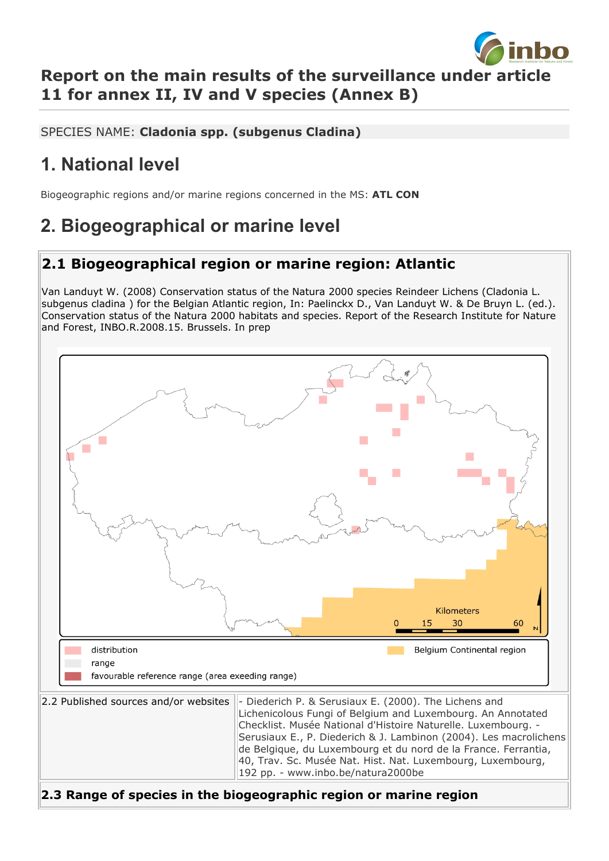

#### **Report on the main results of the surveillance under article 11 for annex II, IV and V species (Annex B)**

SPECIES NAME: **Cladonia spp. (subgenus Cladina)**

## **1. National level**

Biogeographic regions and/or marine regions concerned in the MS: **ATL CON**

## **2. Biogeographical or marine level**

#### **2.1 Biogeographical region or marine region: Atlantic**

Van Landuyt W. (2008) Conservation status of the Natura 2000 species Reindeer Lichens (Cladonia L. subgenus cladina ) for the Belgian Atlantic region, In: Paelinckx D., Van Landuyt W. & De Bruyn L. (ed.). Conservation status of the Natura 2000 habitats and species. Report of the Research Institute for Nature and Forest, INBO.R.2008.15. Brussels. In prep

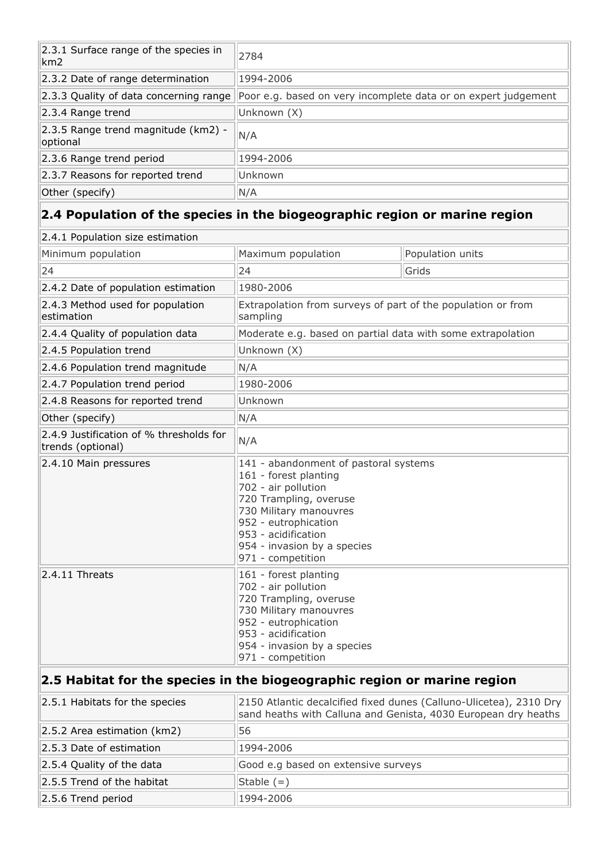| 2.3.1 Surface range of the species in<br>km2    | 2784                                                           |
|-------------------------------------------------|----------------------------------------------------------------|
| 2.3.2 Date of range determination               | 1994-2006                                                      |
| 2.3.3 Quality of data concerning range          | Poor e.g. based on very incomplete data or on expert judgement |
| $ 2.3.4$ Range trend                            | Unknown (X)                                                    |
| 2.3.5 Range trend magnitude (km2) -<br>optional | N/A                                                            |
| 2.3.6 Range trend period                        | 1994-2006                                                      |
| 2.3.7 Reasons for reported trend                | Unknown                                                        |
| Other (specify)                                 | N/A                                                            |

# **2.4 Population of the species in the biogeographic region or marine region**

| 2.4.1 Population size estimation                                         |                                                                                                                                                                                                                                              |                  |  |  |
|--------------------------------------------------------------------------|----------------------------------------------------------------------------------------------------------------------------------------------------------------------------------------------------------------------------------------------|------------------|--|--|
| Minimum population                                                       | Maximum population                                                                                                                                                                                                                           | Population units |  |  |
| 24                                                                       | 24                                                                                                                                                                                                                                           | Grids            |  |  |
| 2.4.2 Date of population estimation                                      | 1980-2006                                                                                                                                                                                                                                    |                  |  |  |
| 2.4.3 Method used for population<br>estimation                           | Extrapolation from surveys of part of the population or from<br>sampling                                                                                                                                                                     |                  |  |  |
| 2.4.4 Quality of population data                                         | Moderate e.g. based on partial data with some extrapolation                                                                                                                                                                                  |                  |  |  |
| 2.4.5 Population trend                                                   | Unknown (X)                                                                                                                                                                                                                                  |                  |  |  |
| 2.4.6 Population trend magnitude                                         | N/A                                                                                                                                                                                                                                          |                  |  |  |
| 2.4.7 Population trend period                                            | 1980-2006                                                                                                                                                                                                                                    |                  |  |  |
| 2.4.8 Reasons for reported trend                                         | Unknown                                                                                                                                                                                                                                      |                  |  |  |
| Other (specify)                                                          | N/A                                                                                                                                                                                                                                          |                  |  |  |
| 2.4.9 Justification of % thresholds for<br>trends (optional)             | N/A                                                                                                                                                                                                                                          |                  |  |  |
| 2.4.10 Main pressures                                                    | 141 - abandonment of pastoral systems<br>161 - forest planting<br>702 - air pollution<br>720 Trampling, overuse<br>730 Military manouvres<br>952 - eutrophication<br>953 - acidification<br>954 - invasion by a species<br>971 - competition |                  |  |  |
| $2.4.11$ Threats                                                         | 161 - forest planting<br>702 - air pollution<br>720 Trampling, overuse<br>730 Military manouvres<br>952 - eutrophication<br>953 - acidification<br>954 - invasion by a species<br>971 - competition                                          |                  |  |  |
| 2.5 Habitat for the species in the biogeographic region or marine region |                                                                                                                                                                                                                                              |                  |  |  |

| 2.5.1 Habitats for the species | 2150 Atlantic decalcified fixed dunes (Calluno-Ulicetea), 2310 Dry<br>sand heaths with Calluna and Genista, 4030 European dry heaths |
|--------------------------------|--------------------------------------------------------------------------------------------------------------------------------------|
| 2.5.2 Area estimation (km2)    | 56                                                                                                                                   |
| 2.5.3 Date of estimation       | 1994-2006                                                                                                                            |
| 2.5.4 Quality of the data      | Good e.g based on extensive surveys                                                                                                  |
| 2.5.5 Trend of the habitat     | Stable $(=)$                                                                                                                         |
| 2.5.6 Trend period             | 1994-2006                                                                                                                            |